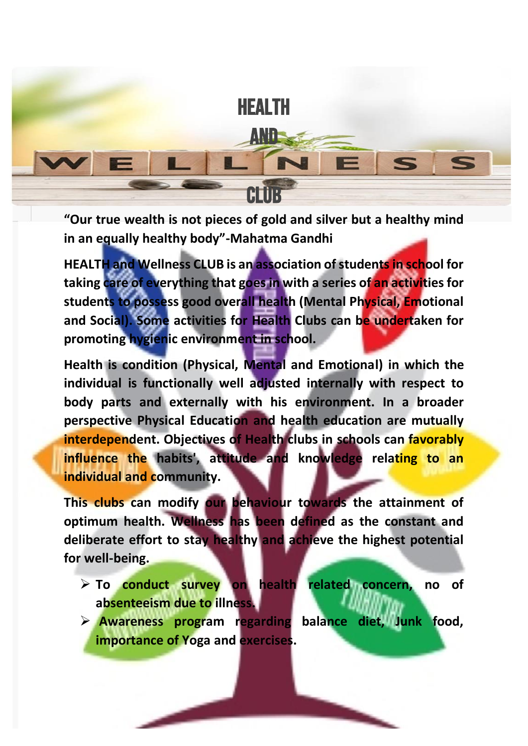

**"Our true wealth is not pieces of gold and silver but a healthy mind in an equally healthy body"-Mahatma Gandhi**

**HEALTH and Wellness CLUB is an association of students in school for taking care of everything that goes in with a series of an activities for students to possess good overall health (Mental Physical, Emotional and Social). Some activities for Health Clubs can be undertaken for promoting hygienic environment in school.**

**Health is condition (Physical, Mental and Emotional) in which the individual is functionally well adjusted internally with respect to body parts and externally with his environment. In a broader perspective Physical Education and health education are mutually interdependent. Objectives of Health clubs in schools can favorably influence the habits', attitude and knowledge relating to an individual and community.**

**This clubs can modify our behaviour towards the attainment of optimum health. Wellness has been defined as the constant and deliberate effort to stay healthy and achieve the highest potential for well-being.** 

- ➢ **To conduct survey on health related concern, no of absenteeism due to illness.**
- ➢ **Awareness program regarding balance diet, Junk food, importance of Yoga and exercises.**